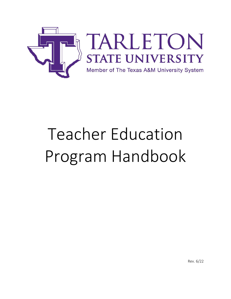

# Teacher Education Program Handbook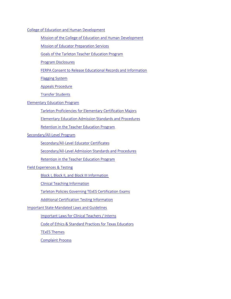#### [College of Education and Human Development](#page-2-0)

[Mission of the College of Education and Human Development](#page-3-0)

[Mission of Educator Preparation Services](#page-3-1)

[Goals of the Tarleton Teacher Education Program](#page-3-2)

[Program Disclosures](#page-3-3)

[FERPA Consent to Release Educational Records and Information](#page-4-0)

[Flagging System](#page-5-0)

[Appeals Procedure](#page-5-1)

[Transfer Students](#page-5-2)

# [Elementary Education Program](#page-7-0)

[Tarleton Proficiencies for Elementary Certification Majors](#page-7-1)

[Elementary Education Admission Standards and Procedures](#page-9-0)

[Retention in the Teacher Education Program](#page-10-0)

[Secondary/All-Level Program](#page-12-0)

[Secondary/All-Level Educator Certificates](#page-12-1)

[Secondary/All-Level Admission Standards and Procedures](#page-12-2)

[Retention in the Teacher](#page-14-0) Education Program

## [Field Experiences & Testing](#page-15-0)

[Block I, Block II, and Block III Information](#page-15-1)

[Clinical Teaching Information](#page-17-0)

[Tarleton Policies Governing TExES](#page-20-0) Certification Exams

[Additional Certification Testing Information](#page-21-0)

[Important State-Mandated Laws and Guidelines](#page-22-0)

[Important Laws for Clinical Teachers / Interns](#page-22-1)

[Code of Ethics & Standard Practices for Texas Educators](#page-23-0)

[TExES Themes](#page-26-0)

[Complaint Process](#page-28-0)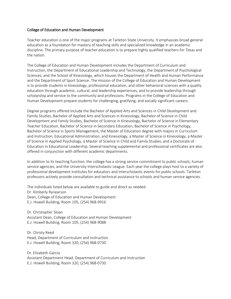#### <span id="page-2-0"></span>College of Education and Human Development

Teacher education is one of the major programs at Tarleton State University. It emphasizes broad general education as a foundation for mastery of teaching skills and specialized knowledge in an academic discipline. The primary purpose of teacher education is to prepare highly qualified teachers for Texas and the nation.

The College of Education and Human Development includes the Department of Curriculum and Instruction, the Department of Educational Leadership and Technology, the Department of Psychological Sciences, and the School of Kinesiology, which houses the Department of Health and Human Performance and the Department of Sport Science. The mission of the College of Education and Human Development is to provide students in kinesiology, professional education, and other behavioral sciences with a quality education through academic, cultural, and leadership experiences, and to provide leadership through scholarship and service to the community and professions. Programs in the College of Education and Human Development prepare students for challenging, gratifying, and socially significant careers.

Degree programs offered include the Bachelor of Applied Arts and Sciences in Child Development and Family Studies, Bachelor of Applied Arts and Sciences in Kinesiology, Bachelor of Science in Child Development and Family Studies, Bachelor of Science in Kinesiology, Bachelor of Science in Elementary Teacher Education, Bachelor of Science in Secondary Education, Bachelor of Science in Psychology, Bachelor of Science in Sports Management, the Master of Education degree with majors in Curriculum and Instruction, Educational Administration, and Kinesiology, a Master of Science in Kinesiology, a Master of Science in Applied Psychology, a Master of Science in Child and Family Studies, and a Doctorate of Education in Educational Leadership. Several teaching supplemental and professional certificates are also offered in conjunction with different academic departments.

In addition to its teaching function, the college has a strong service commitment to public schools, human service agencies, and the University Interscholastic League. Each year the college plays host to a variety of professional development institutes for educators and interscholastic events for public schools. Tarleton professors actively provide consultation and technical assistance to schools and human service agencies.

The individuals listed below are available to guide and direct as needed. Dr. Kimberly Rynearson Dean, College of Education and Human Development E.J. Howell Building, Room 105, (254) 968-9916

Dr. Christopher Sloan Assistant Dean, College of Education and Human Development E.J. Howell Building, Room 105, (254) 968-9088

Dr. Christy Reed Head, Department of Curriculum and Instruction E.J. Howell Building, Room 320, (254) 968-0730

Dr. Elizabeth Garcia Assistant Department Head, Department of Curriculum and Instruction E.J. Howell Building, Room 320, (254) 968-0730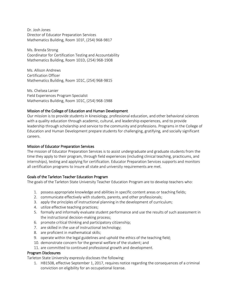Dr. Josh Jones Director of Educator Preparation Services Mathematics Building, Room 101F, (254) 968-9817

Ms. Brenda Strong Coordinator for Certification Testing and Accountability Mathematics Building, Room 101D, (254) 968-1908

Ms. Allison Andrews Certification Officer Mathematics Building, Room 101C, (254) 968-9815

Ms. Chelsea Lanier Field Experiences Program Specialist Mathematics Building, Room 101C, (254) 968-1988

# <span id="page-3-0"></span>Mission of the College of Education and Human Development

Our mission is to provide students in kinesiology, professional education, and other behavioral sciences with a quality education through academic, cultural, and leadership experiences, and to provide leadership through scholarship and service to the community and professions. Programs in the College of Education and Human Development prepare students for challenging, gratifying, and socially significant careers.

## <span id="page-3-1"></span>Mission of Educator Preparation Services

The mission of Educator Preparation Services is to assist undergraduate and graduate students from the time they apply to their program, through field experiences (including clinical teaching, practicums, and internships), testing and applying for certification. Educator Preparation Services supports and monitors all certification programs to insure all state and university requirements are met.

# <span id="page-3-2"></span>Goals of the Tarleton Teacher Education Program

The goals of the Tarleton State University Teacher Education Program are to develop teachers who:

- 1. possess appropriate knowledge and abilities in specific content areas or teaching fields;
- 2. communicate effectively with students, parents, and other professionals;
- 3. apply the principles of instructional planning in the development of curriculum;
- 4. utilize effective teaching practices;
- 5. formally and informally evaluate student performance and use the results of such assessment in the instructional decision-making process;
- 6. promote critical thinking and participatory citizenship;
- 7. are skilled in the use of instructional technology;
- 8. are proficient in mathematical skills;
- 9. operate within the legal guidelines and uphold the ethics of the teaching field;
- 10. demonstrate concern for the general welfare of the student; and
- 11. are committed to continued professional growth and development.

## <span id="page-3-3"></span>Program Disclosures

Tarleton State University expressly discloses the following:

1. HB1508, effective September 1, 2017, requires notice regarding the consequences of a criminal conviction on eligibility for an occupational license.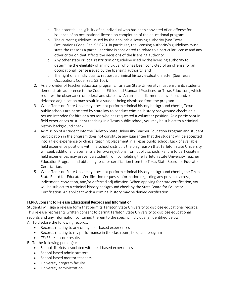- a. The potential ineligibility of an individual who has been convicted of an offense for issuance of an occupational license on completion of the educational program.
- b. The current guidelines issued by the applicable licensing authority (See Texas Occupations Code, Sec. 53.025). In particular, the licensing authority's guidelines must state the reasons a particular crime is considered to relate to a particular license and any other criterion that affects the decisions of the licensing authority.
- c. Any other state or local restriction or guideline used by the licensing authority to determine the eligibility of an individual who has been convicted of an offense for an occupational license issued by the licensing authority; and
- d. The right of an individual to request a criminal history evaluation letter (See Texas Occupations Code, Sec. 53.102).
- 2. As a provider of teacher education programs, Tarleton State University must ensure its students demonstrate adherence to the Code of Ethics and Standard Practices for Texas Educators, which requires the observance of federal and state law. An arrest, indictment, conviction, and/or deferred adjudication may result in a student being dismissed from the program.
- 3. While Tarleton State University does not perform criminal history background checks, Texas public schools are permitted by state law to conduct criminal history background checks on a person intended for hire or a person who has requested a volunteer position. As a participant in field experiences or student teaching in a Texas public school, you may be subject to a criminal history background check.
- 4. Admission of a student into the Tarleton State University Teacher Education Program and student participation in the program does not constitute any guarantee that the student will be accepted into a field experience or clinical teaching placement in a Texas public school. Lack of available field experience positions within a school district is the only reason that Tarleton State University will seek additional placements after two rejections from public schools. Failure to participate in field experiences may prevent a student from completing the Tarleton State University Teacher Education Program and obtaining teacher certification from the Texas State Board for Educator Certification.
- 5. While Tarleton State University does not perform criminal history background checks, the Texas State Board for Educator Certification requests information regarding any previous arrest, indictment, conviction, and/or deferred adjudication. When applying for state certification, you will be subject to a criminal history background check by the State Board for Educator Certification. An applicant with a criminal history may be denied certification.

# <span id="page-4-0"></span>FERPA Consent to Release Educational Records and Information

Students will sign a release form that permits Tarleton State University to disclose educational records. This release represents written consent to permit Tarleton State University to disclose educational records and any information contained therein to the specific individual(s) identified below. A. To disclose the following records:

- Records relating to any of my field-based experiences
	- Records relating to my performance in the classroom, field, and program
	- TExES test score results
- B. To the following person(s):
	- School districts associated with field-based experiences
	- School-based administrators
	- School-based mentor teachers
	- University program faculty
	- University administration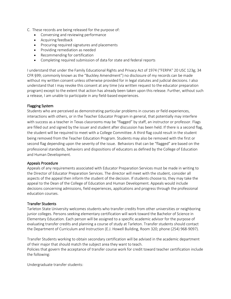- C. These records are being released for the purpose of:
	- Conversing and reviewing performance
	- Acquiring feedback
	- Procuring required signatures and placements
	- Providing remediation as needed
	- Recommending for certification
	- Completing required submission of data for state and federal reports

I understand that under the Family Educational Rights and Privacy Act of 1974 ("FERPA'' 20 USC 123g; 34 CFR §99; commonly known as the "Buckley Amendment") no disclosure of my records can be made without my written consent unless otherwise provided for in legal statutes and judicial decisions. I also understand that I may revoke this consent at any time (via written request to the educator preparation program) except to the extent that action has already been taken upon this release. Further, without such a release, I am unable to participate in any field-based experiences.

#### <span id="page-5-0"></span>Flagging System

Students who are perceived as demonstrating particular problems in courses or field experiences, interactions with others, or in the Teacher Educator Program in general, that potentially may interfere with success as a teacher in Texas classrooms may be "flagged" by staff, an instructor or professor. Flags are filled out and signed by the issuer and student after discussion has been held. If there is a second flag, the student will be required to meet with a College Committee. A third flag could result in the student being removed from the Teacher Education Program. Students may also be removed with the first or second flag depending upon the severity of the issue. Behaviors that can be "flagged" are based on the professional standards, behaviors and dispositions of educators as defined by the College of Education and Human Development.

#### <span id="page-5-1"></span>Appeals Procedure

Appeals of any requirements associated with Educator Preparation Services must be made in writing to the Director of Educator Preparation Services. The director will meet with the student, consider all aspects of the appeal then inform the student of the decision. If students choose to, they may take the appeal to the Dean of the College of Education and Human Development. Appeals would include decisions concerning admissions, field experiences, applications and progress through the professional education courses.

#### <span id="page-5-2"></span>Transfer Students

Tarleton State University welcomes students who transfer credits from other universities or neighboring junior colleges. Persons seeking elementary certification will work toward the Bachelor of Science in Elementary Education. Each person will be assigned to a specific academic advisor for the purpose of evaluating transfer credits and planning a course of study at Tarleton. Transfer students should contact the Department of Curriculum and Instruction (E.J. Howell Building, Room 320; phone (254) 968-9097).

Transfer Students working to obtain secondary certification will be advised in the academic department of their major that should match the subject area they want to teach. Policies that govern the acceptance of transfer course work for credit toward teacher certification include the following:

Undergraduate transfer students: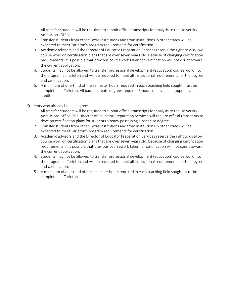- 1. All transfer students will be required to submit official transcripts for analysis to the University Admissions Office.
- 2. Transfer students from other Texas institutions and from institutions in other states will be expected to meet Tarleton's program requirements for certification.
- 3. Academic advisors and the Director of Educator Preparation Services reserve the right to disallow course work on certification plans that are over seven years old. Because of changing certification requirements, it is possible that previous coursework taken for certification will not count toward the current application.
- 4. Students may not be allowed to transfer professional development (education) course work into the program at Tarleton and will be required to meet all institutional requirements for the degree and certification.
- 5. A minimum of one-third of the semester hours required in each teaching field sought must be completed at Tarleton. All baccalaureate degrees require 45 hours of advanced (upper level) credit.

Students who already hold a degree:

- 1. All transfer students will be required to submit official transcripts for analysis to the University Admissions Office. The Director of Educator Preparation Services will require official transcripts to develop certification plans for students already possessing a bachelor degree.
- 2. Transfer students from other Texas institutions and from institutions in other states will be expected to meet Tarleton's program requirements for certification.
- 3. Academic advisors and the Director of Educator Preparation Services reserve the right to disallow course work on certification plans that are over seven years old. Because of changing certification requirements, it is possible that previous coursework taken for certification will not count toward the current application.
- 4. Students may not be allowed to transfer professional development (education) course work into the program at Tarleton and will be required to meet all institutional requirements for the degree and certification.
- 5. A minimum of one-third of the semester hours required in each teaching field sought must be completed at Tarleton.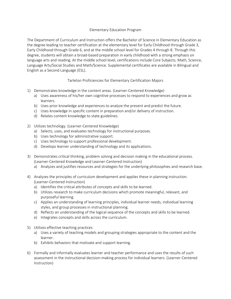## Elementary Education Program

<span id="page-7-0"></span>The Department of Curriculum and Instruction offers the Bachelor of Science in Elementary Education as the degree leading to teacher certification at the elementary level for Early Childhood through Grade 3, Early Childhood through Grade 6, and at the middle school level for Grades 4 through 8. Through this degree, students will obtain a broad-based preparation in early childhood with a strong emphasis on language arts and reading. At the middle school level, certifications include Core Subjects, Math, Science, Language Arts/Social Studies and Math/Science. Supplemental certificates are available in Bilingual and English as a Second Language (ESL).

# Tarleton Proficiencies for Elementary Certification Majors

- <span id="page-7-1"></span>1) Demonstrates knowledge in the content areas. (Learner-Centered Knowledge)
	- a) Uses awareness of his/her own cognitive processes to respond to experiences and grow as learners.
	- b) Uses prior knowledge and experiences to analyze the present and predict the future.
	- c) Uses knowledge in specific content in preparation and/or delivery of instruction.
	- d) Relates content knowledge to state guidelines.
- 2) Utilizes technology. (Learner-Centered Knowledge)
	- a) Selects, uses, and evaluates technology for instructional purposes.
	- b) Uses technology for administrative support.
	- c) Uses technology to support professional development.
	- d) Develops learner understanding of technology and its applications.
- 3) Demonstrates critical thinking, problem solving and decision making in the educational process. (Learner-Centered Knowledge and Learner-Centered Instruction)
	- a) Analyzes and justifies resources and strategies for the underlying philosophies and research base.
- 4) Analyzes the principles of curriculum development and applies these in planning instruction. (Learner-Centered Instruction)
	- a) Identifies the critical attributes of concepts and skills to be learned.
	- b) Utilizes research to make curriculum decisions which promote meaningful, relevant, and purposeful learning.
	- c) Applies an understanding of learning principles, individual learner needs, individual learning styles, and group processes in instructional planning.
	- d) Reflects an understanding of the logical sequence of the concepts and skills to be learned.
	- e) Integrates concepts and skills across the curriculum.
- 5) Utilizes effective teaching practices
	- a) Uses a variety of teaching models and grouping strategies appropriate to the content and the learner.
	- b) Exhibits behaviors that motivate and support learning.
- 6) Formally and informally evaluates learner and teacher performance and uses the results of such assessment in the instructional decision-making process for individual learners. (Learner-Centered Instruction)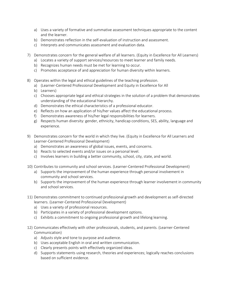- a) Uses a variety of formative and summative assessment techniques appropriate to the content and the learner.
- b) Demonstrates reflection in the self-evaluation of instruction and assessment.
- c) Interprets and communicates assessment and evaluation data.
- 7) Demonstrates concern for the general welfare of all learners. (Equity in Excellence for All Learners)
	- a) Locates a variety of support services/resources to meet learner and family needs.
	- b) Recognizes human needs must be met for learning to occur.
	- c) Promotes acceptance of and appreciation for human diversity within learners.
- 8) Operates within the legal and ethical guidelines of the teaching profession.
	- a) (Learner-Centered Professional Development and Equity in Excellence for All
	- b) Learners)
	- c) Chooses appropriate legal and ethical strategies in the solution of a problem that demonstrates understanding of the educational hierarchy.
	- d) Demonstrates the ethical characteristics of a professional educator.
	- e) Reflects on how an application of his/her values affect the educational process.
	- f) Demonstrates awareness of his/her legal responsibilities for learners.
	- g) Respects human diversity: gender, ethnicity, handicap conditions, SES, ability, language and experience.
- 9) Demonstrates concern for the world in which they live. (Equity in Excellence for All Learners and Learner-Centered Professional Development)
	- a) Demonstrates an awareness of global issues, events, and concerns.
	- b) Reacts to selected events and/or issues on a personal level.
	- c) Involves learners in building a better community, school, city, state, and world.
- 10) Contributes to community and school services. (Learner-Centered Professional Development)
	- a) Supports the improvement of the human experience through personal involvement in community and school services.
	- b) Supports the improvement of the human experience through learner involvement in community and school services.
- 11) Demonstrates commitment to continued professional growth and development as self-directed learners. (Learner-Centered Professional Development)
	- a) Uses a variety of professional resources.
	- b) Participates in a variety of professional development options.
	- c) Exhibits a commitment to ongoing professional growth and lifelong learning.
- 12) Communicates effectively with other professionals, students, and parents. (Learner-Centered Communication)
	- a) Adjusts style and tone to purpose and audience.
	- b) Uses acceptable English in oral and written communication.
	- c) Clearly presents points with effectively organized ideas.
	- d) Supports statements using research, theories and experiences; logically reaches conclusions based on sufficient evidence.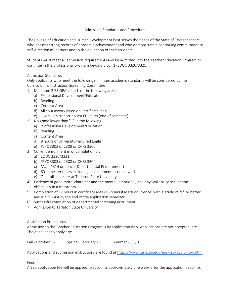## Admission Standards and Procedures

<span id="page-9-0"></span>The College of Education and Human Development best serves the needs of the State of Texas teachers who possess strong records of academic achievement and who demonstrate a continuing commitment to self-direction as learners and to the education of their students.

Students must meet all admission requirements and be admitted into the Teacher Education Program to continue in the professional program beyond Block 1- EDUC 3320/3321.

# Admission Standards

Only applicants who meet the following minimum academic standards will be considered by the Curriculum & Instruction Screening Committee.

- 1) Minimum 2.75 GPA in each of the following areas:
	- a) Professional Development/Education
	- b) Reading
	- c) Content Area
	- d) All coursework listed on Certificate Plan
	- e) Overall on transcript/last 60 hours (end of semester)
- 2) No grade lower than "C" in the following:
	- a) Professional Development/Education
	- b) Reading
	- c) Content Area
	- d) 9 hours of University-required English
	- e) PSYC 3303 or 2308 or CHFS 3300
- 3) Current enrollment in or completion of:
	- a) EDUC 3320/3321
	- b) PSYC 3303 or 2308 or CHFS 3300
	- c) Math 1314 or above (Departmental Requirement)
	- d) 60 semester hours excluding developmental course work
	- e) One full semester at Tarleton State University
- 4) Evidence of good moral character and the mental, emotional, and physical ability to function effectively in a classroom.
- 5) Completion of 12 hours in certificate area (15 hours if Math or Science) with a grade of "C" or better and a 2.75 GPA by the end of the application semester.
- 6) Successful completion of departmental screening instrument.
- 7) Admission to Tarleton State University.

## Application Procedures

Admission to the Teacher Education Program is by application only. Applications are not accepted late. The deadlines to apply are:

Fall - October 15 Spring - February 15 Summer - July 1

Applications and submission instructions are found a[t https://www.tarleton.edu/eps/tep/apply-now.html](https://www.tarleton.edu/eps/tep/apply-now.html)

Fees

A \$35 application fee will be applied to accounts approximately one week after the application deadline.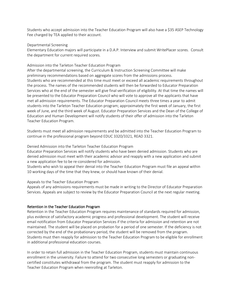Students who accept admission into the Teacher Education Program will also have a \$35 ASEP Technology Fee charged by TEA applied to their account.

#### Departmental Screening

Elementary Education majors will participate in a D.A.P. Interview and submit WritePlacer scores. Consult the department for current required scores.

## Admission into the Tarleton Teacher Education Program

After the departmental screening, the Curriculum & Instruction Screening Committee will make preliminary recommendations based on aggregate scores from the admissions process. Students who are recommended at this time must meet or exceed all academic requirements throughout the process. The names of the recommended students will then be forwarded to Educator Preparation Services who at the end of the semester will give final verification of eligibility. At that time the names will be presented to the Educator Preparation Council who will vote to approve all the applicants that have met all admission requirements. The Educator Preparation Council meets three times a year to admit students into the Tarleton Teacher Education program; approximately the first week of January, the first week of June, and the third week of August. Educator Preparation Services and the Dean of the College of Education and Human Development will notify students of their offer of admission into the Tarleton Teacher Education Program.

Students must meet all admission requirements and be admitted into the Teacher Education Program to continue in the professional program beyond EDUC 3320/3321, READ 3321.

## Denied Admission into the Tarleton Teacher Education Program

Educator Preparation Services will notify students who have been denied admission. Students who are denied admission must meet with their academic advisor and reapply with a new application and submit a new application fee to be re-considered for admission.

Students who wish to appeal their denial into the Teacher Education Program must file an appeal within 10 working days of the time that they knew, or should have known of their denial.

## Appeals to the Teacher Education Program

Appeals of any admissions requirements must be made in writing to the Director of Educator Preparation Services. Appeals are subject to review by the Educator Preparation Council at the next regular meeting.

# <span id="page-10-0"></span>Retention in the Teacher Education Program

Retention in the Teacher Education Program requires maintenance of standards required for admission, plus evidence of satisfactory academic progress and professional development. The student will receive email notification from Educator Preparation Services if the criteria for admission and retention are not maintained. The student will be placed on probation for a period of one semester. If the deficiency is not corrected by the end of the probationary period, the student will be removed from the program. Students must then reapply for admission to the Teacher Education Program to be eligible for enrollment in additional professional education courses.

In order to retain full admission in the Teacher Education Program, students must maintain continuous enrollment in the university. Failure to attend for two consecutive long semesters or graduating noncertified constitutes withdrawal from the program. The student must reapply for admission to the Teacher Education Program when reenrolling at Tarleton.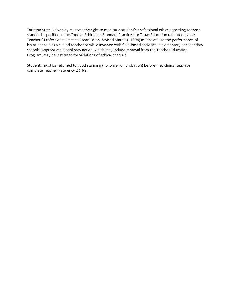Tarleton State University reserves the right to monitor a student's professional ethics according to those standards specified in the Code of Ethics and Standard Practices for Texas Education (adopted by the Teachers' Professional Practice Commission, revised March 1, 1998) as it relates to the performance of his or her role as a clinical teacher or while involved with field-based activities in elementary or secondary schools. Appropriate disciplinary action, which may include removal from the Teacher Education Program, may be instituted for violations of ethical conduct.

Students must be returned to good standing (no longer on probation) before they clinical teach or complete Teacher Residency 2 (TR2).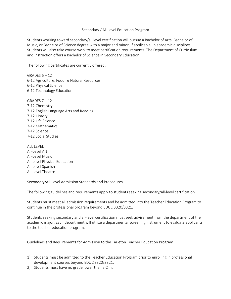#### Secondary / All Level Education Program

<span id="page-12-0"></span>Students working toward secondary/all level certification will pursue a Bachelor of Arts, Bachelor of Music, or Bachelor of Science degree with a major and minor, if applicable, in academic disciplines. Students will also take course work to meet certification requirements. The Department of Curriculum and Instruction offers a Bachelor of Science in Secondary Education.

<span id="page-12-1"></span>The following certificates are currently offered:

GRADES  $6 - 12$ 6-12 Agriculture, Food, & Natural Resources 6-12 Physical Science 6-12 Technology Education

- GRADES  $7 12$ 7-12 Chemistry 7-12 English Language Arts and Reading 7-12 History 7-12 Life Science 7-12 Mathematics 7-12 Science 7-12 Social Studies
- ALL LEVEL All-Level Art All-Level Music All-Level Physical Education All-Level Spanish All-Level Theatre

<span id="page-12-2"></span>Secondary/All-Level Admission Standards and Procedures

The following guidelines and requirements apply to students seeking secondary/all-level certification.

Students must meet all admission requirements and be admitted into the Teacher Education Program to continue in the professional program beyond EDUC 3320/3321.

Students seeking secondary and all-level certification must seek advisement from the department of their academic major. Each department will utilize a departmental screening instrument to evaluate applicants to the teacher education program.

Guidelines and Requirements for Admission to the Tarleton Teacher Education Program

- 1) Students must be admitted to the Teacher Education Program prior to enrolling in professional development courses beyond EDUC 3320/3321.
- 2) Students must have no grade lower than a C in: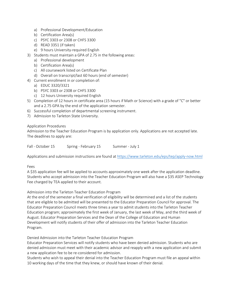- a) Professional Development/Education
- b) Certification Area(s)
- c) PSYC 3303 or 2308 or CHFS 3300
- d) READ 3351 (if taken)
- e) 9 hours University-required English
- 3) Students must maintain a GPA of 2.75 in the following areas:
	- a) Professional development
	- b) Certification Area(s)
	- c) All coursework listed on Certificate Plan
	- d) Overall on transcript/last 60 hours (end of semester)
- 4) Current enrollment in or completion of:
	- a) EDUC 3320/3321
	- b) PSYC 3303 or 2308 or CHFS 3300
	- c) 12 hours University required English
- 5) Completion of 12 hours in certificate area (15 hours if Math or Science) with a grade of "C" or better and a 2.75 GPA by the end of the application semester.
- 6) Successful completion of departmental screening instrument.
- 7) Admission to Tarleton State University.

## Application Procedures

Admission to the Teacher Education Program is by application only. Applications are not accepted late. The deadlines to apply are:

Fall - October 15 Spring - February 15 Summer - July 1

Applications and submission instructions are found a[t https://www.tarleton.edu/eps/tep/apply-now.html](https://www.tarleton.edu/eps/tep/apply-now.html)

## Fees

A \$35 application fee will be applied to accounts approximately one week after the application deadline. Students who accept admission into the Teacher Education Program will also have a \$35 ASEP Technology Fee charged by TEA applied to their account.

## Admission into the Tarleton Teacher Education Program

At the end of the semester a final verification of eligibility will be determined and a list of the students that are eligible to be admitted will be presented to the Educator Preparation Council for approval. The Educator Preparation Council meets three times a year to admit students into the Tarleton Teacher Education program; approximately the first week of January, the last week of May, and the third week of August. Educator Preparation Services and the Dean of the College of Education and Human Development will notify students of their offer of admission into the Tarleton Teacher Education Program.

Denied Admission into the Tarleton Teacher Education Program

Educator Preparation Services will notify students who have been denied admission. Students who are denied admission must meet with their academic advisor and reapply with a new application and submit a new application fee to be re-considered for admission.

Students who wish to appeal their denial into the Teacher Education Program must file an appeal within 10 working days of the time that they knew, or should have known of their denial.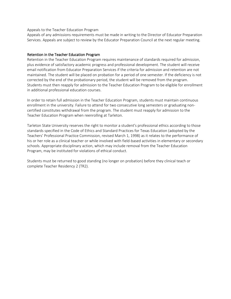#### Appeals to the Teacher Education Program

Appeals of any admissions requirements must be made in writing to the Director of Educator Preparation Services. Appeals are subject to review by the Educator Preparation Council at the next regular meeting.

## <span id="page-14-0"></span>Retention in the Teacher Education Program

Retention in the Teacher Education Program requires maintenance of standards required for admission, plus evidence of satisfactory academic progress and professional development. The student will receive email notification from Educator Preparation Services if the criteria for admission and retention are not maintained. The student will be placed on probation for a period of one semester. If the deficiency is not corrected by the end of the probationary period, the student will be removed from the program. Students must then reapply for admission to the Teacher Education Program to be eligible for enrollment in additional professional education courses.

In order to retain full admission in the Teacher Education Program, students must maintain continuous enrollment in the university. Failure to attend for two consecutive long semesters or graduating noncertified constitutes withdrawal from the program. The student must reapply for admission to the Teacher Education Program when reenrolling at Tarleton.

Tarleton State University reserves the right to monitor a student's professional ethics according to those standards specified in the Code of Ethics and Standard Practices for Texas Education (adopted by the Teachers' Professional Practice Commission, revised March 1, 1998) as it relates to the performance of his or her role as a clinical teacher or while involved with field-based activities in elementary or secondary schools. Appropriate disciplinary action, which may include removal from the Teacher Education Program, may be instituted for violations of ethical conduct.

Students must be returned to good standing (no longer on probation) before they clinical teach or complete Teacher Residency 2 (TR2).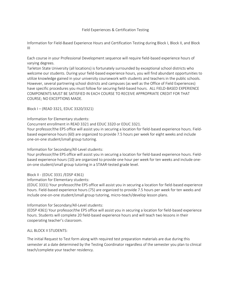### Field Experiences & Certification Testing

<span id="page-15-0"></span>Information for Field-Based Experience Hours and Certification Testing during Block I, Block II, and Block III

Each course in your Professional Development sequence will require field-based experience hours of varying degrees.

Tarleton State University (all locations) is fortunately surrounded by exceptional school districts who welcome our students. During your field-based experience hours, you will find abundant opportunities to utilize knowledge gained in your university coursework with students and teachers in the public schools. However, several partnering school districts and campuses (as well as the Office of Field Experiences) have specific procedures you must follow for securing field-based hours. ALL FIELD-BASED EXPERIENCE COMPONENTS MUST BE SATISFIED IN EACH COURSE TO RECEIVE APPROPRIATE CREDIT FOR THAT COURSE; NO EXCEPTIONS MADE.

<span id="page-15-1"></span>Block I – (READ 3321, EDUC 3320/3321)

#### Information for Elementary students:

Concurrent enrollment in READ 3321 and EDUC 3320 or EDUC 3321.

Your professor/the EPS office will assist you in securing a location for field-based experience hours. Fieldbased experience hours (60) are organized to provide 7.5 hours per week for eight weeks and include one-on-one student/small group tutoring.

Information for Secondary/All-Level students:

Your professor/the EPS office will assist you in securing a location for field-based experience hours. Fieldbased experience hours (10) are organized to provide one hour per week for ten weeks and include oneon-one student/small group tutoring in a STAAR-tested grade level.

## Block II - (EDUC 3331 /EDSP 4361)

Information for Elementary students:

(EDUC 3331) Your professor/the EPS office will assist you in securing a location for field-based experience hours. Field-based experience hours (75) are organized to provide 7.5 hours per week for ten weeks and include one-on-one student/small group tutoring, micro-teach/develop lesson plans.

## Information for Secondary/All-Level students:

(EDSP 4361) Your professor/the EPS office will assist you in securing a location for field-based experience hours. Students will complete 20 field-based experience hours and will teach two lessons in their cooperating teacher's classroom.

#### ALL BLOCK II STUDENTS:

The initial Request to Test form along with required test preparation materials are due during this semester at a date determined by the Testing Coordinator regardless of the semester you plan to clinical teach/complete your teacher residency.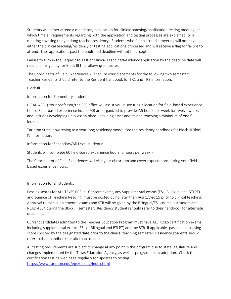Students will either attend a mandatory application for clinical teaching/certification testing meeting, at which time all requirements regarding both the application and testing processes are explained, or a meeting covering the yearlong teacher residency. Students who fail to attend a meeting will not have either the clinical teaching/residency or testing applications processed and will receive a flag for failure to attend. Late applications past the published deadline will not be accepted.

Failure to turn in the Request to Test or Clinical Teaching/Residency application by the deadline date will result in ineligibility for Block III the following semester.

The Coordinator of Field Experiences will secure your placements for the following two semesters. Teacher Residents should refer to the Resident handbook for TR1 and TR2 information.

Block III

Information for Elementary students:

(READ 4331) Your professor/the EPS office will assist you in securing a location for field-based experience hours. Field-based experience hours (90) are organized to provide 7.5 hours per week for twelve weeks and includes developing unit/lesson plans, including assessments and teaching a minimum of one full lesson.

Tarleton State is switching to a year-long residency model. See the residency handbook for Block III Block IV information.

Information for Secondary/All-Level students:

Students will complete 60 field-based experience hours (5 hours per week.)

The Coordinator of Field Experiences will visit your classroom and cover expectations during your fieldbased experience hours.

Information for all students:

Passing scores for ALL TExES PPR, all Content exams, any Supplemental exams (ESL, Bilingual and BTLPT) and Science of Teaching Reading, must be posted by no later than Aug 1/Dec 15 prior to clinical teaching. Approval to take supplemental exams and STR will be given by the Bilingual/ESL course instructors and READ 4384 during the Block III semester. Residency students should refer to their handbook for alternate deadlines.

Current candidates admitted to the Teacher Education Program must have ALL TExES certification exams including supplemental exams (ESL or Bilingual and BTLPT) and the STR, if applicable, passed and passing scores posted by the designated date prior to the clinical teaching semester. Residency students should refer to their handbook for alternate deadlines.

All testing requirements are subject to change at any point in the program due to state legislature and changes implemented by the Texas Education Agency, as well as program policy adoption. Check the certification testing web page regularly for updates to testing. <https://www.tarleton.edu/eps/testing/index.html>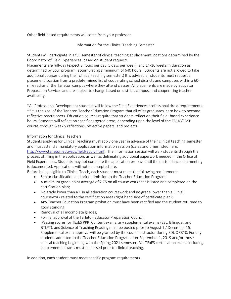<span id="page-17-0"></span>Other field-based requirements will come from your professor.

## Information for the Clinical Teaching Semester

Students will participate in a full semester of clinical teaching at placement locations determined by the Coordinator of Field Experiences, based on student requests.

Placements are full-day (expect 8 hours per day, 5 days per week), and 14-16 weeks in duration as determined by your program, accumulating a minimum of 640 hours. (Students are not allowed to take additional courses during their clinical teaching semester.) It is advised all students must request a placement location from a predetermined list of cooperating school districts and campuses within a 60 mile radius of the Tarleton campus where they attend classes. All placements are made by Educator Preparation Services and are subject to change based on district, campus, and cooperating teacher availability.

\*All Professional Development students will follow the Field Experiences professional dress requirements. \*\*It is the goal of the Tarleton Teacher Education Program that all of its graduates learn how to become reflective practitioners. Education courses require that students reflect on their field- based experience hours. Students will reflect on specific targeted areas, depending upon the level of the EDUC/EDSP course, through weekly reflections, reflective papers, and projects.

# Information for Clinical Teachers

Students applying for Clinical Teaching must apply one year in advance of their clinical teaching semester and must attend a mandatory application information session (dates and times listed here: [http://www.tarleton.edu/eps/field/apply.html\)](http://www.tarleton.edu/eps/field/apply.html). The information session will walk students through the process of filling in the application, as well as delineating additional paperwork needed in the Office of Field Experiences. Students may not complete the application process until their attendance at a meeting is documented. Applications will not be accepted late.

Before being eligible to Clinical Teach, each student must meet the following requirements:

- Senior classification and prior admission to the Teacher Education Program;
- A minimum grade point average of 2.75 on all course work that is listed and completed on the certification plan;
- No grade lower than a C in all education coursework and no grade lower than a C in all coursework related to the certification area (right hand side of certificate plan);
- Any Teacher Education Program probation must have been rectified and the student returned to good standing;
- Removal of all incomplete grades;
- Formal approval of the Tarleton Educator Preparation Council;
- Passing scores for TExES PPR, Content exams, any supplemental exams (ESL, Bilingual, and BTLPT), and Science of Teaching Reading must be posted prior to August 1 / December 15. Supplemental exam approval will be granted by the course instructor during EDUC 3310. For any students admitted to the Teacher Education Program after September 1, 2019 and/or those clinical teaching beginning with the Spring 2021 semester, ALL TExES certification exams including supplemental exams must be passed prior to clinical teaching.

In addition, each student must meet specific program requirements.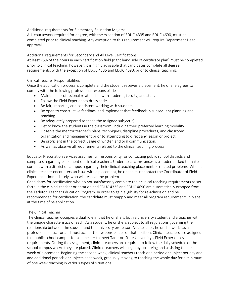Additional requirements for Elementary Education Majors:

ALL coursework required for degree, with the exception of EDUC 4335 and EDUC 4690, must be completed prior to clinical teaching. Any exception to this requirement will require Department Head approval.

Additional requirements for Secondary and All Level Certifications:

At least 75% of the hours in each certification field (right hand side of certificate plan) must be completed prior to clinical teaching; however, it is highly advisable that candidates complete all degree requirements, with the exception of EDUC 4335 and EDUC 4690, prior to clinical teaching.

# Clinical Teacher Responsibilities

Once the application process is complete and the student receives a placement, he or she agrees to comply with the following professional responsibilities:

- Maintain a professional relationship with students, faculty, and staff.
- Follow the Field Experiences dress code.
- Be fair, impartial, and consistent working with students.
- Be open to constructive feedback and implement that feedback in subsequent planning and teaching.
- Be adequately prepared to teach the assigned subject(s).
- Get to know the students in the classroom, including their preferred learning modality.
- Observe the mentor teacher's plans, techniques, discipline procedures, and classroom organization and management prior to attempting to direct any lesson or project.
- Be proficient in the correct usage of written and oral communication.
- As well as observe all requirements related to the clinical teaching process.

Educator Preparation Services assumes full responsibility for contacting public school districts and campuses regarding placement of clinical teachers. Under no circumstances is a student asked to make contact with a district or campus regarding their clinical teaching placement or related problems. When a clinical teacher encounters an issue with a placement, he or she must contact the Coordinator of Field Experiences immediately, who will resolve the problem.

Candidates for certification who do not satisfactorily complete their clinical teaching requirements as set forth in the clinical teacher orientation and EDUC 4335 and EDUC 4690 are automatically dropped from the Tarleton Teacher Education Program. In order to gain eligibility for re-admission and be recommended for certification, the candidate must reapply and meet all program requirements in place at the time of re-application.

# The Clinical Teacher:

The clinical teacher occupies a dual role in that he or she is both a university student and a teacher with the unique characteristics of each. As a student, he or she is subject to all regulations governing the relationship between the student and the university professor. As a teacher, he or she works as a professional educator and must accept the responsibilities of that position. Clinical teachers are assigned to a public school campus for a semester to meet Tarleton State University's Field Experiences requirements. During the assignment, clinical teachers are required to follow the daily schedule of the school campus where they are placed. Clinical teachers will begin by observing and assisting the first week of placement. Beginning the second week, clinical teachers teach one period or subject per day and add additional periods or subjects each week, gradually moving to teaching the whole day for a minimum of one week teaching in various types of situations.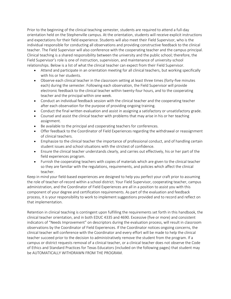Prior to the beginning of the clinical teaching semester, students are required to attend a full-day orientation held on the Stephenville campus. At the orientation, students will receive explicit instructions and expectations for their field experience. Students will also meet their Field Supervisor, who is the individual responsible for conducting all observations and providing constructive feedback to the clinical teacher. The Field Supervisor will also conference with the cooperating teacher and the campus principal. Clinical teaching is a shared responsibility between the university and the public school; therefore, the Field Supervisor's role is one of instruction, supervision, and maintenance of university-school relationships. Below is a list of what the clinical teacher can expect from their Field Supervisor.

- Attend and participate in an orientation meeting for all clinical teachers, but working specifically with his or her students.
- Observe each clinical teacher in the classroom setting at least three times (forty-five minutes each) during the semester. Following each observation, the Field Supervisor will provide electronic feedback to the clinical teacher within twenty-four hours, and to the cooperating teacher and the principal within one week.
- Conduct an individual feedback session with the clinical teacher and the cooperating teacher after each observation for the purpose of providing ongoing training.
- Conduct the final written evaluation and assist in assigning a satisfactory or unsatisfactory grade.
- Counsel and assist the clinical teacher with problems that may arise in his or her teaching assignment.
- Be available to the principal and cooperating teachers for conferences.
- Offer feedback to the Coordinator of Field Experiences regarding the withdrawal or reassignment of clinical teachers.
- Emphasize to the clinical teacher the importance of professional conduct, and of handling certain student issues and school situations with the strictest of confidence.
- Ensure the clinical teacher understands clearly, and carries out effectively, his or her part of the field experiences program.
- Furnish the cooperating teachers with copies of materials which are given to the clinical teacher so they are familiar with the regulations, requirements, and policies which affect the clinical teacher.

Keep in mind your field-based experiences are designed to help you perfect your craft prior to assuming the role of teacher-of-record within a school district. Your Field Supervisor, cooperating teacher, campus administration, and the Coordinator of Field Experiences are all in a position to assist you with this component of your degree and certification requirements. As part of the evaluation and feedback process, it is your responsibility to work to implement suggestions provided and to record and reflect on that implementation.

Retention in clinical teaching is contingent upon fulfilling the requirements set forth in this handbook, the clinical teacher orientation, and in both EDUC 4335 and 4690. Excessive (five or more) and consistent indicators of "Needs Improvement" on descriptors during the evaluation process, will result in classroom observations by the Coordinator of Field Experiences. If the Coordinator notices ongoing concerns, the clinical teacher will conference with the Coordinator and every effort will be made to help the clinical teacher succeed prior to the decision to administratively remove the student from the program. If a campus or district requests removal of a clinical teacher, or a clinical teacher does not observe the Code of Ethics and Standard Practices for Texas Educators (included on the following pages) that student may be AUTOMATICALLY WITHDRAWN FROM THE PROGRAM.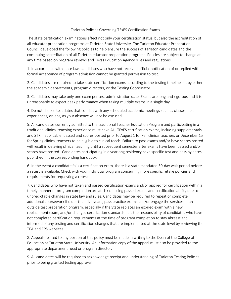### Tarleton Policies Governing TExES Certification Exams

<span id="page-20-0"></span>The state certification examinations affect not only your certification status, but also the accreditation of all educator preparation programs at Tarleton State University. The Tarleton Educator Preparation Council developed the following policies to help ensure the success of Tarleton candidates and the continuing accreditation of all Tarleton educator preparation programs. Policies are subject to change at any time based on program reviews and Texas Education Agency rules and regulations.

1. In accordance with state law, candidates who have not received official notification of or replied with formal acceptance of program admission cannot be granted permission to test.

2. Candidates are required to take state certification exams according to the testing timeline set by either the academic departments, program directors, or the Testing Coordinator.

3. Candidates may take only one exam per test administration date. Exams are long and rigorous and it is unreasonable to expect peak performance when taking multiple exams in a single day.

4. Do not choose test dates that conflict with any scheduled academic meetings such as classes, field experiences, or labs, as your absence will not be excused.

5. All candidates currently admitted to the traditional Teacher Education Program and participating in a traditional clinical teaching experience must have ALL TExES certification exams, including supplementals and STR if applicable, passed and scores posted prior to August 1 for Fall clinical teachers or December 15 for Spring clinical teachers to be eligible to clinical teach. Failure to pass exams and/or have scores posted will result in delaying clinical teaching until a subsequent semester after exams have been passed and/or scores have posted. Candidates participating in a yearlong residency have specific test and pass by dates published in the corresponding handbook.

6. In the event a candidate fails a certification exam, there is a state mandated 30-day wait period before a retest is available. Check with your individual program concerning more specific retake policies and requirements for requesting a retest.

7. Candidates who have not taken and passed certification exams and/or applied for certification within a timely manner of program completion are at risk of losing passed exams and certification ability due to unpredictable changes in state law and rules. Candidates may be required to repeat or complete additional coursework if older than five years, pass practice exams and/or engage the services of an outside test preparation program, especially if the State replaces an expired exam with a new replacement exam, and/or changes certification standards. It is the responsibility of candidates who have not completed certification requirements at the time of program completion to stay abreast and informed of any testing and certification changes that are implemented at the state level by reviewing the TEA and EPS websites.

8. Appeals related to any portion of this policy must be made in writing to the Dean of the College of Education at Tarleton State University. An information copy of the appeal must also be provided to the appropriate department head or program director.

9. All candidates will be required to acknowledge receipt and understanding of Tarleton Testing Policies prior to being granted testing approval.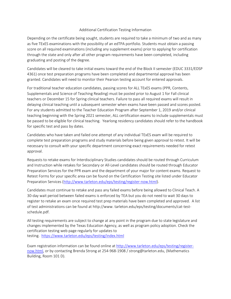## Additional Certification Testing Information

<span id="page-21-0"></span>Depending on the certificate being sought, students are required to take a minimum of two and as many as five TExES examinations with the possibility of an edTPA portfolio. Students must obtain a passing score on all required examinations (including any supplement exams) prior to applying for certification through the state and only after all other program requirements have been completed, including graduating and posting of the degree.

Candidates will be cleared to take initial exams toward the end of the Block II semester (EDUC 3331/EDSP 4361) once test preparation programs have been completed and departmental approval has been granted. Candidates will need to monitor their Pearson testing account for entered approvals.

For traditional teacher education candidates, passing scores for ALL TExES exams (PPR, Contents, Supplementals and Science of Teaching Reading) must be posted prior to August 1 for Fall clinical teachers or December 15 for Spring clinical teachers. Failure to pass all required exams will result in delaying clinical teaching until a subsequent semester when exams have been passed and scores posted. For any students admitted to the Teacher Education Program after September 1, 2019 and/or clinical teaching beginning with the Spring 2021 semester, ALL certification exams to include supplementals must be passed to be eligible for clinical teaching. Yearlong residency candidates should refer to the handbook for specific test and pass by dates.

Candidates who have taken and failed one attempt of any individual TExES exam will be required to complete test preparation programs and study materials before being given approval to retest. It will be necessary to consult with your specific department concerning exact requirements needed for retest approval.

Requests to retake exams for Interdisciplinary Studies candidates should be routed through Curriculum and Instruction while retakes for Secondary or All-Level candidates should be routed through Educator Preparation Services for the PPR exam and the department of your major for content exams. Request to Retest Forms for your specific area can be found on the Certification Testing site listed under Educator Preparation Services [\(http://www.tarleton.edu/eps/testing/register-now.html\)](http://www.tarleton.edu/eps/testing/register-now.html).

Candidates must continue to retake and pass any failed exams before being allowed to Clinical Teach. A 30-day wait period between failed exams is enforced by TEA but you do not need to wait 30 days to register to retake an exam once required test prep materials have been completed and approved. A list of test administrations can be found at http://www. tarleton.edu/eps/testing/documents/cat-testschedule.pdf.

All testing requirements are subject to change at any point in the program due to state legislature and changes implemented by the Texas Education Agency, as well as program policy adoption. Check the certification testing web page regularly for updates to testing. <https://www.tarleton.edu/eps/testing/index.html>

Exam registration information can be found online at [http://www.tarleton.edu/eps/testing/register](http://www.tarleton.edu/eps/testing/register-now.html)[now.html,](http://www.tarleton.edu/eps/testing/register-now.html) or by contacting Brenda Strong at 254-968-1908 / strong@tarleton.edu, (Mathematics Building, Room 101 D).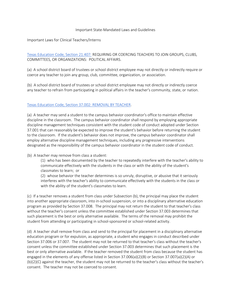#### Important State-Mandated Laws and Guidelines

#### <span id="page-22-1"></span><span id="page-22-0"></span>Important Laws for Clinical Teachers/Interns

[Texas Education Code, Section 21.407:](https://statutes.capitol.texas.gov/Docs/ED/htm/ED.21.htm) REQUIRING OR COERCING TEACHERS TO JOIN GROUPS, CLUBS, COMMITTEES, OR ORGANIZATIONS: POLITICAL AFFAIRS.

(a) A school district board of trustees or school district employee may not directly or indirectly require or coerce any teacher to join any group, club, committee, organization, or association.

(b) A school district board of trustees or school district employee may not directly or indirectly coerce any teacher to refrain from participating in political affairs in the teacher's community, state, or nation.

## [Texas Education Code, Section 37.002: REMOVAL BY TEACHER.](https://statutes.capitol.texas.gov/Docs/ED/htm/ED.37.htm)

(a) A teacher may send a student to the campus behavior coordinator's office to maintain effective discipline in the classroom. The campus behavior coordinator shall respond by employing appropriate discipline management techniques consistent with the student code of conduct adopted under Section 37.001 that can reasonably be expected to improve the student's behavior before returning the student to the classroom. If the student's behavior does not improve, the campus behavior coordinator shall employ alternative discipline management techniques, including any progressive interventions designated as the responsibility of the campus behavior coordinator in the student code of conduct.

(b) A teacher may remove from class a student:

(1) who has been documented by the teacher to repeatedly interfere with the teacher's ability to communicate effectively with the students in the class or with the ability of the student's classmates to learn; or

(2) whose behavior the teacher determines is so unruly, disruptive, or abusive that it seriously interferes with the teacher's ability to communicate effectively with the students in the class or with the ability of the student's classmates to learn.

(c) If a teacher removes a student from class under Subsection (b), the principal may place the student into another appropriate classroom, into in-school suspension, or into a disciplinary alternative education program as provided by Section 37.008. The principal may not return the student to that teacher's class without the teacher's consent unless the committee established under Section 37.003 determines that such placement is the best or only alternative available. The terms of the removal may prohibit the student from attending or participating in school-sponsored or school-related activity.

(d) A teacher shall remove from class and send to the principal for placement in a disciplinary alternative education program or for expulsion, as appropriate, a student who engages in conduct described under Section 37.006 or 37.007. The student may not be returned to that teacher's class without the teacher's consent unless the committee established under Section 37.003 determines that such placement is the best or only alternative available. If the teacher removed the student from class because the student has engaged in the elements of any offense listed in Section 37.006(a)(2)(B) or Section 37.007(a)(2)(A) or (b)(2)(C) against the teacher, the student may not be returned to the teacher's class without the teacher's consent. The teacher may not be coerced to consent.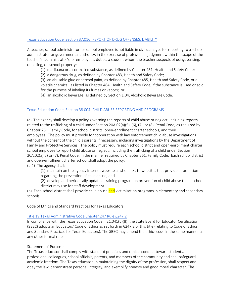# [Texas Education Code, Section 37.016: REPORT OF DRUG OFFENSES; LIABILITY](https://statutes.capitol.texas.gov/Docs/ED/htm/ED.37.htm)

A teacher, school administrator, or school employee is not liable in civil damages for reporting to a school administrator or governmental authority, in the exercise of professional judgment within the scope of the teacher's, administrator's, or employee's duties, a student whom the teacher suspects of using, passing, or selling, on school property:

(1) marijuana or a controlled substance, as defined by Chapter 481, Health and Safety Code;

(2) a dangerous drug, as defined by Chapter 483, Health and Safety Code;

(3) an abusable glue or aerosol paint, as defined by Chapter 485, Health and Safety Code, or a volatile chemical, as listed in Chapter 484, Health and Safety Code, if the substance is used or sold for the purpose of inhaling its fumes or vapors; or

(4) an alcoholic beverage, as defined by Section 1.04, Alcoholic Beverage Code.

## [Texas Education Code, Section 38.004: CHILD ABUSE REPORTING AND PROGRAMS.](https://statutes.capitol.texas.gov/Docs/ED/htm/ED.38.htm)

(a) The agency shall develop a policy governing the reports of child abuse or neglect, including reports related to the trafficking of a child under Section 20A.02(a)(5), (6), (7), or (8), Penal Code, as required by Chapter 261, Family Code, for school districts, open-enrollment charter schools, and their employees. The policy must provide for cooperation with law enforcement child abuse investigations without the consent of the child's parents if necessary, including investigations by the Department of Family and Protective Services. The policy must require each school district and open-enrollment charter school employee to report child abuse or neglect, including the trafficking of a child under Section 20A.02(a)(5) or (7), Penal Code, in the manner required by Chapter 261, Family Code. Each school district and open-enrollment charter school shall adopt the policy.

(a-1) The agency shall:

(1) maintain on the agency Internet website a list of links to websites that provide information regarding the prevention of child abuse; and

(2) develop and periodically update a training program on prevention of child abuse that a school district may use for staff development.

(b) Each school district shall provide child abuse and victimization programs in elementary and secondary schools.

<span id="page-23-0"></span>Code of Ethics and Standard Practices for Texas Educators

## [Title 19 Texas Administrative Code Chapter 247 Rule §247.2](https://texreg.sos.state.tx.us/public/readtac$ext.TacPage?sl=R&app=9&p_dir=&p_rloc=&p_tloc=&p_ploc=&pg=1&p_tac=&ti=19&pt=7&ch=247&rl=2)

In compliance with the Texas Education Code, §21.041(b)(8), the State Board for Educator Certification (SBEC) adopts an Educators' Code of Ethics as set forth in §247.2 of this title (relating to Code of Ethics and Standard Practices for Texas Educators). The SBEC may amend the ethics code in the same manner as any other formal rule.

## Statement of Purpose

The Texas educator shall comply with standard practices and ethical conduct toward students, professional colleagues, school officials, parents, and members of the community and shall safeguard academic freedom. The Texas educator, in maintaining the dignity of the profession, shall respect and obey the law, demonstrate personal integrity, and exemplify honesty and good moral character. The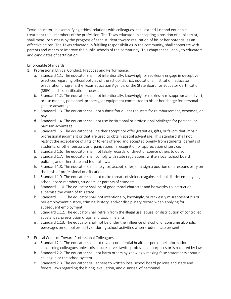Texas educator, in exemplifying ethical relations with colleagues, shall extend just and equitable treatment to all members of the profession. The Texas educator, in accepting a position of public trust, shall measure success by the progress of each student toward realization of his or her potential as an effective citizen. The Texas educator, in fulfilling responsibilities in the community, shall cooperate with parents and others to improve the public schools of the community. This chapter shall apply to educators and candidates of certification.

Enforceable Standards

- 1. Professional Ethical Conduct, Practices and Performance.
	- a. Standard 1.1. The educator shall not intentionally, knowingly, or recklessly engage in deceptive practices regarding official policies of the school district, educational institution, educator preparation program, the Texas Education Agency, or the State Board for Educator Certification (SBEC) and its certification process.
	- b. Standard 1.2. The educator shall not intentionally, knowingly, or recklessly misappropriate, divert, or use monies, personnel, property, or equipment committed to his or her charge for personal gain or advantage.
	- c. Standard 1.3. The educator shall not submit fraudulent requests for reimbursement, expenses, or pay.
	- d. Standard 1.4. The educator shall not use institutional or professional privileges for personal or partisan advantage.
	- e. Standard 1.5. The educator shall neither accept nor offer gratuities, gifts, or favors that impair professional judgment or that are used to obtain special advantage. This standard shall not restrict the acceptance of gifts or tokens offered and accepted openly from students, parents of students, or other persons or organizations in recognition or appreciation of service.
	- f. Standard 1.6. The educator shall not falsify records, or direct or coerce others to do so.
	- g. Standard 1.7. The educator shall comply with state regulations, written local school board policies, and other state and federal laws.
	- h. Standard 1.8. The educator shall apply for, accept, offer, or assign a position or a responsibility on the basis of professional qualifications.
	- i. Standard 1.9. The educator shall not make threats of violence against school district employees, school board members, students, or parents of students.
	- j. Standard 1.10. The educator shall be of good moral character and be worthy to instruct or supervise the youth of this state.
	- k. Standard 1.11. The educator shall not intentionally, knowingly, or recklessly misrepresent his or her employment history, criminal history, and/or disciplinary record when applying for subsequent employment.
	- l. Standard 1.12. The educator shall refrain from the illegal use, abuse, or distribution of controlled substances, prescription drugs, and toxic inhalants.
	- m. Standard 1.13. The educator shall not be under the influence of alcohol or consume alcoholic beverages on school property or during school activities when students are present.
- 2. Ethical Conduct Toward Professional Colleagues.
	- a. Standard 2.1. The educator shall not reveal confidential health or personnel information concerning colleagues unless disclosure serves lawful professional purposes or is required by law.
	- b. Standard 2.2. The educator shall not harm others by knowingly making false statements about a colleague or the school system.
	- c. Standard 2.3. The educator shall adhere to written local school board policies and state and federal laws regarding the hiring, evaluation, and dismissal of personnel.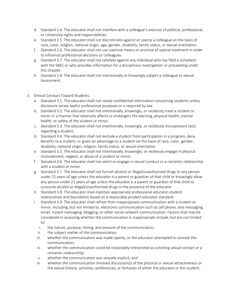- d. Standard 2.4. The educator shall not interfere with a colleague's exercise of political, professional, or citizenship rights and responsibilities.
- e. Standard 2.5. The educator shall not discriminate against or coerce a colleague on the basis of race, color, religion, national origin, age, gender, disability, family status, or sexual orientation.
- f. Standard 2.6. The educator shall not use coercive means or promise of special treatment in order to influence professional decisions or colleagues.
- g. Standard 2.7. The educator shall not retaliate against any individual who has filed a complaint with the SBEC or who provides information for a disciplinary investigation or proceeding under this chapter.
- h. Standard 2.8. The educator shall not intentionally or knowingly subject a colleague to sexual harassment.
- 3. Ethical Conduct Toward Students.
	- a. Standard 3.1. The educator shall not reveal confidential information concerning students unless disclosure serves lawful professional purposes or is required by law.
	- b. Standard 3.2. The educator shall not intentionally, knowingly, or recklessly treat a student or minor in a manner that adversely affects or endangers the learning, physical health, mental health, or safety of the student or minor.
	- c. Standard 3.3. The educator shall not intentionally, knowingly, or recklessly misrepresent facts regarding a student.
	- d. Standard 3.4. The educator shall not exclude a student from participation in a program, deny benefits to a student, or grant an advantage to a student on the basis of race, color, gender, disability, national origin, religion, family status, or sexual orientation.
	- e. Standard 3.5. The educator shall not intentionally, knowingly, or recklessly engage in physical mistreatment, neglect, or abuse of a student or minor.
	- f. Standard 3.6. The educator shall not solicit or engage in sexual conduct or a romantic relationship with a student or minor.
	- g. Standard 3.7. The educator shall not furnish alcohol or illegal/unauthorized drugs to any person under 21 years of age unless the educator is a parent or guardian of that child or knowingly allow any person under 21 years of age unless the educator is a parent or guardian of that child to consume alcohol or illegal/unauthorized drugs in the presence of the educator.
	- h. Standard 3.8. The educator shall maintain appropriate professional educator-student relationships and boundaries based on a reasonably prudent educator standard.
	- i. Standard 3.9. The educator shall refrain from inappropriate communication with a student or minor, including, but not limited to, electronic communication such as cell phone, text messaging, email, instant messaging, blogging, or other social network communication. Factors that may be considered in assessing whether the communication is inappropriate include, but are not limited to:
		- i. the nature, purpose, timing, and amount of the communication;
		- ii. the subject matter of the communication;
		- iii. whether the communication was made openly, or the educator attempted to conceal the communication;
		- iv. whether the communication could be reasonably interpreted as soliciting sexual contact or a romantic relationship;
		- v. whether the communication was sexually explicit; and
		- vi. whether the communication involved discussion(s) of the physical or sexual attractiveness or the sexual history, activities, preferences, or fantasies of either the educator or the student.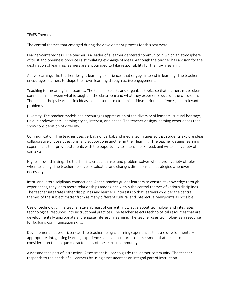#### <span id="page-26-0"></span>TExES Themes

The central themes that emerged during the development process for this test were:

Learner-centeredness. The teacher is a leader of a learner-centered community in which an atmosphere of trust and openness produces a stimulating exchange of ideas. Although the teacher has a vision for the destination of learning, learners are encouraged to take responsibility for their own learning.

Active learning. The teacher designs learning experiences that engage interest in learning. The teacher encourages learners to shape their own learning through active engagement.

Teaching for meaningful outcomes. The teacher selects and organizes topics so that learners make clear connections between what is taught in the classroom and what they experience outside the classroom. The teacher helps learners link ideas in a content area to familiar ideas, prior experiences, and relevant problems.

Diversity. The teacher models and encourages appreciation of the diversity of learners' cultural heritage, unique endowments, learning styles, interest, and needs. The teacher designs learning experiences that show consideration of diversity.

Communication. The teacher uses verbal, nonverbal, and media techniques so that students explore ideas collaboratively, pose questions, and support one another in their learning. The teacher designs learning experiences that provide students with the opportunity to listen, speak, read, and write in a variety of contexts.

Higher-order thinking. The teacher is a critical thinker and problem solver who plays a variety of roles when teaching. The teacher observes, evaluates, and changes directions and strategies whenever necessary.

Intra- and interdisciplinary connections. As the teacher guides learners to construct knowledge through experiences, they learn about relationships among and within the central themes of various disciplines. The teacher integrates other disciplines and learners' interests so that learners consider the central themes of the subject matter from as many different cultural and intellectual viewpoints as possible.

Use of technology. The teacher stays abreast of current knowledge about technology and integrates technological resources into instructional practices. The teacher selects technological resources that are developmentally appropriate and engage interest in learning. The teacher uses technology as a resource for building communication skills.

Developmental appropriateness. The teacher designs learning experiences that are developmentally appropriate, integrating learning experiences and various forms of assessment that take into consideration the unique characteristics of the learner community.

Assessment as part of instruction. Assessment is used to guide the learner community. The teacher responds to the needs of all learners by using assessment as an integral part of instruction.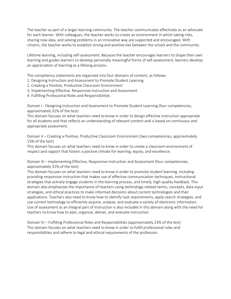The teacher as part of a larger learning community. The teacher communicates effectively as an advocate for each learner. With colleagues, the teacher works to create an environment in which taking risks, sharing new idea, and solving problems in an innovative way are supported and encouraged. With citizens, the teacher works to establish strong and positive ties between the school and the community.

Lifetime learning, including self-assessment. Because the teacher encourages learners to shape their own learning and guides learners to develop personally meaningful forms of self-assessment, learners develop an appreciation of learning as a lifelong process.

The competency statements are organized into four domains of content, as follows:

- 1. Designing Instruction and Assessment to Promote Student Learning
- 2. Creating a Positive, Productive Classroom Environment
- 3. Implementing Effective, Responsive Instruction and Assessment
- 4. Fulfilling Professional Roles and Responsibilities

Domain I - Designing Instruction and Assessment to Promote Student Learning (four competencies, approximately 31% of the test)

This domain focuses on what teachers need to know in order to design effective instruction appropriate for all students and that reflects an understanding of relevant content and is based on continuous and appropriate assessment.

Domain II – Creating a Positive, Productive Classroom Environment (two competencies, approximately 15% of the test)

This domain focuses on what teachers need to know in order to create a classroom environment of respect and rapport that fosters a positive climate for learning, equity, and excellence.

Domain III – Implementing Effective, Responsive Instruction and Assessment (four competencies, approximately 31% of the test)

This domain focuses on what teachers need to know in order to promote student learning, including providing responsive instruction that makes use of effective communication techniques, instructional strategies that actively engage students in the learning process, and timely, high-quality feedback. This domain also emphasizes the importance of teachers using technology-related terms, concepts, data input strategies, and ethical practices to make informed decisions about current technologies and their applications. Teachers also need to know how to identify task requirements, apply search strategies, and use current technology to efficiently acquire, analyze, and evaluate a variety of electronic information. Use of assessment as an integral part of instruction is also included in this domain along with the need for teachers to know how to plan, organize, deliver, and evaluate instruction.

Domain IV – Fulfilling Professional Roles and Responsibilities (approximately 23% of the test) This domain focuses on what teachers need to know in order to fulfill professional roles and responsibilities and adhere to legal and ethical requirements of the profession.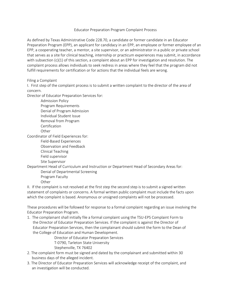#### Educator Preparation Program Complaint Process

<span id="page-28-0"></span>As defined by Texas Administrative Code 228.70, a candidate or former candidate in an Educator Preparation Program (EPP), an applicant for candidacy in an EPP, an employee or former employee of an EPP, a cooperating teacher, a mentor, a site supervisor, or an administrator in a public or private school that serves as a site for clinical teaching, internship or practicum experiences may submit, in accordance with subsection (c)(1) of this section, a complaint about an EPP for investigation and resolution. The complaint process allows individuals to seek redress in areas where they feel that the program did not fulfill requirements for certification or for actions that the individual feels are wrong.

Filing a Complaint

I. First step of the complaint process is to submit a written complaint to the director of the area of concern.

Director of Educator Preparation Services for:

Admission Policy Program Requirements Denial of Program Admission Individual Student Issue Removal from Program Certification **Other** 

Coordinator of Field Experiences for:

Field-Based Experiences

Observation and Feedback

Clinical Teaching Field supervisor

Site Supervisor

Department Head of Curriculum and Instruction or Department Head of Secondary Areas for: Denial of Departmental Screening

Program Faculty

**Other** 

II. If the complaint is not resolved at the first step the second step is to submit a signed written statement of complaints or concerns. A formal written public complaint must include the facts upon which the complaint is based. Anonymous or unsigned complaints will not be processed.

These procedures will be followed for response to a formal complaint regarding an issue involving the Educator Preparation Program.

1. The complainant shall initially file a formal complaint using the TSU-EPS Complaint Form to the Director of Educator Preparation Services. If the complaint is against the Director of Educator Preparation Services, then the complainant should submit the form to the Dean of the College of Education and Human Development.

> Director of Educator Preparation Services T-0790, Tarleton State University Stephenville, TX 76402

- 2. The complaint form must be signed and dated by the complainant and submitted within 30 business days of the alleged incident.
- 3. The Director of Educator Preparation Services will acknowledge receipt of the complaint, and an investigation will be conducted.